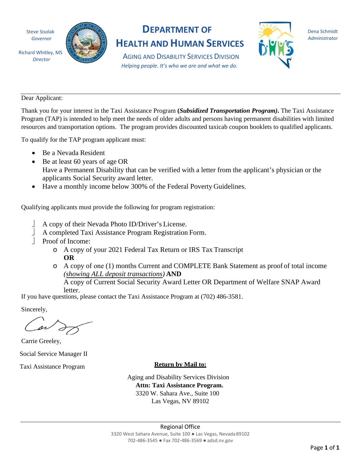Steve Sisolak *Governor*

Richard Whitley, MS *Director*



## **DEPARTMENT OF HEALTH AND HUMAN SERVICES**

AGING AND DISABILITY SERVICES DIVISION *Helping people. It's who we are and what we do.*



Dena Schmidt *Administrator*

Dear Applicant:

Thank you for your interest in the Taxi Assistance Program **(***Subsidized Transportation Program)***.** The Taxi Assistance Program (TAP) is intended to help meet the needs of older adults and persons having permanent disabilities with limited resources and transportation options. The program provides discounted taxicab coupon booklets to qualified applicants.

To qualify for the TAP program applicant must:

- Be a Nevada Resident
- Be at least 60 years of age OR Have a Permanent Disability that can be verified with a letter from the applicant's physician or the applicants Social Security award letter.
- Have a monthly income below 300% of the Federal Poverty Guidelines.

Qualifying applicants must provide the following for program registration:

- A copy of their Nevada Photo ID/Driver's License.
	- A completed Taxi Assistance Program Registration Form.
- Proof of Income:
	- o A copy of your 2021 Federal Tax Return or IRS Tax Transcript **OR**
	- o A copy of one (1) months Current and COMPLETE Bank Statement as proof of total income *(showing ALL deposit transactions)* **AND**

A copy of Current Social Security Award Letter OR Department of Welfare SNAP Award letter.

If you have questions, please contact the Taxi Assistance Program at (702) 486-3581.

Sincerely,

Carrie Greeley,

Social Service Manager II

Taxi Assistance Program **Return by Mail to:** 

Aging and Disability Services Division **Attn: Taxi Assistance Program.**  3320 W. Sahara Ave., Suite 100 Las Vegas, NV 89102